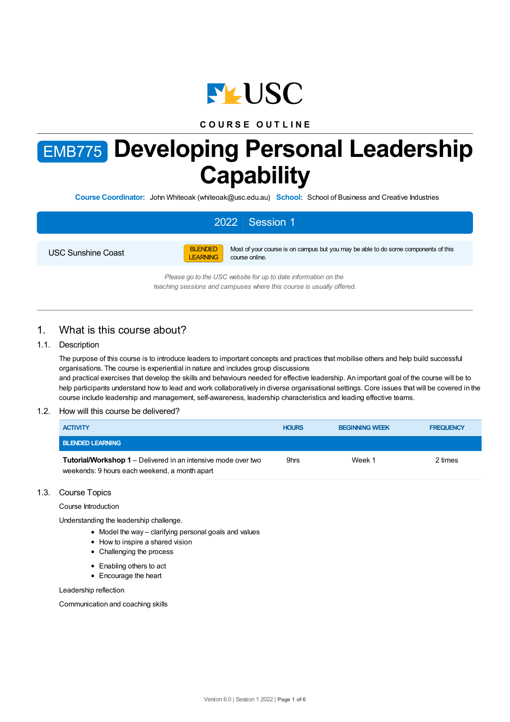

# **C O U R S E O U T L I N E**

# EMB775 **Developing Personal Leadership Capability**

**Course Coordinator:** John Whiteoak (whiteoak@usc.edu.au) **School:** School of Business and Creative Industries

# 2022 Session 1

USC Sunshine Coast



Most of your course is on campus but you may be able to do some components of this course online.

*Please go to the USC website for up to date information on the teaching sessions and campuses where this course is usually offered.*

# 1. What is this course about?

## 1.1. Description

The purpose of this course is to introduce leaders to important concepts and practices that mobilise others and help build successful organisations. The course is experiential in nature and includes group discussions and practical exercises that develop the skills and behaviours needed for effective leadership. An important goal of the course will be to help participants understand how to lead and work collaboratively in diverse organisational settings. Core issues that will be covered in the course include leadership and management, self-awareness, leadership characteristics and leading effective teams.

#### 1.2. How will this course be delivered?

| <b>ACTIVITY</b>                                                                                                       | <b>HOURS</b> | <b>BEGINNING WEEK</b> | <b>FREQUENCY</b> |
|-----------------------------------------------------------------------------------------------------------------------|--------------|-----------------------|------------------|
| <b>BLENDED LEARNING</b>                                                                                               |              |                       |                  |
| <b>Tutorial/Workshop 1</b> – Delivered in an intensive mode over two<br>weekends: 9 hours each weekend, a month apart | 9hrs         | Week 1                | 2 times          |

#### 1.3. Course Topics

Course Introduction

Understanding the leadership challenge.

- Model the way clarifying personal goals and values
- How to inspire a shared vision
- Challenging the process
- Enabling others to act
- Encourage the heart

Leadership reflection

Communication and coaching skills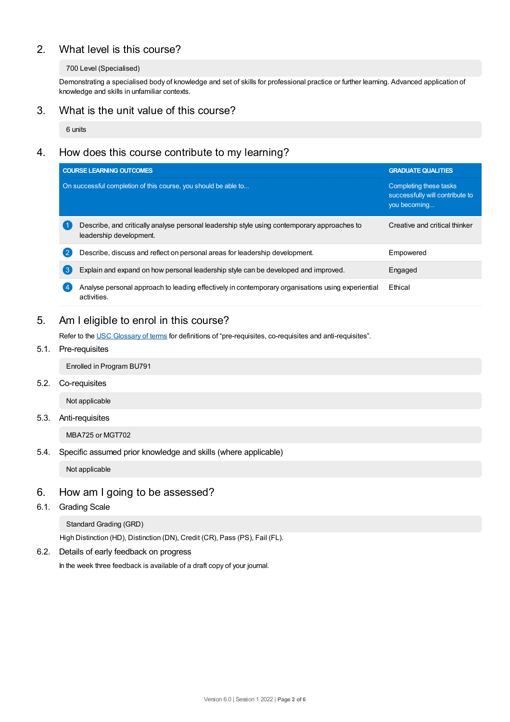# 2. What level is this course?

## 700 Level (Specialised)

Demonstrating a specialised body of knowledge and set of skills for professional practice or further learning. Advanced application of knowledge and skills in unfamiliar contexts.

# 3. What is the unit value of this course?

6 units

# 4. How does this course contribute to my learning?

|                  | <b>COURSE LEARNING OUTCOMES</b>                                                                                        | <b>GRADUATE QUALITIES</b>                                                 |  |
|------------------|------------------------------------------------------------------------------------------------------------------------|---------------------------------------------------------------------------|--|
|                  | On successful completion of this course, you should be able to                                                         | Completing these tasks<br>successfully will contribute to<br>you becoming |  |
|                  | Describe, and critically analyse personal leadership style using contemporary approaches to<br>leadership development. | Creative and critical thinker                                             |  |
| $\overline{2}$   | Describe, discuss and reflect on personal areas for leadership development.                                            | Empowered                                                                 |  |
| $\left(3\right)$ | Explain and expand on how personal leadership style can be developed and improved.                                     | Engaged                                                                   |  |
| $\overline{4}$   | Analyse personal approach to leading effectively in contemporary organisations using experiential<br>activities.       | Ethical                                                                   |  |

# 5. Am Ieligible to enrol in this course?

Refer to the USC [Glossary](https://www.usc.edu.au/about/policies-and-procedures/glossary-of-terms-for-policy-and-procedures) of terms for definitions of "pre-requisites, co-requisites and anti-requisites".

# 5.1. Pre-requisites

Enrolled in Program BU791

5.2. Co-requisites

Not applicable

## 5.3. Anti-requisites

MBA725 or MGT702

## 5.4. Specific assumed prior knowledge and skills (where applicable)

Not applicable

# 6. How am Igoing to be assessed?

6.1. Grading Scale

Standard Grading (GRD)

High Distinction (HD), Distinction (DN), Credit (CR), Pass (PS), Fail (FL).

# 6.2. Details of early feedback on progress

In the week three feedback is available of a draft copy of your journal.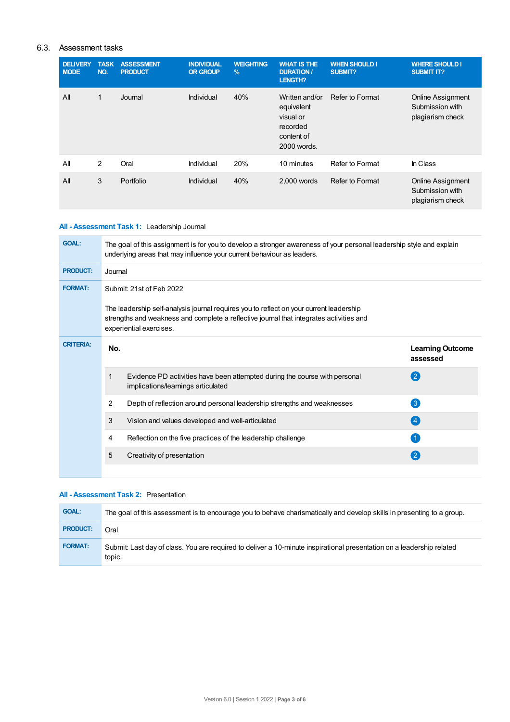## 6.3. Assessment tasks

| <b>DELIVERY</b><br><b>MODE</b> | <b>TASK</b><br>NO. | <b>ASSESSMENT</b><br><b>PRODUCT</b> | <b>INDIVIDUAL</b><br><b>OR GROUP</b> | <b>WEIGHTING</b><br>$\frac{9}{6}$ | <b>WHAT IS THE</b><br><b>DURATION /</b><br>LENGTH?                                 | <b>WHEN SHOULD I</b><br><b>SUBMIT?</b> | <b>WHERE SHOULD I</b><br><b>SUBMIT IT?</b>                      |
|--------------------------------|--------------------|-------------------------------------|--------------------------------------|-----------------------------------|------------------------------------------------------------------------------------|----------------------------------------|-----------------------------------------------------------------|
| All                            | $\mathbf{1}$       | Journal                             | Individual                           | 40%                               | Written and/or<br>equivalent<br>visual or<br>recorded<br>content of<br>2000 words. | Refer to Format                        | Online Assignment<br>Submission with<br>plagiarism check        |
| All                            | 2                  | Oral                                | Individual                           | 20%                               | 10 minutes                                                                         | Refer to Format                        | In Class                                                        |
| All                            | 3                  | Portfolio                           | Individual                           | 40%                               | 2,000 words                                                                        | Refer to Format                        | <b>Online Assignment</b><br>Submission with<br>plagiarism check |

## **All - Assessment Task 1:** Leadership Journal

| <b>GOAL:</b>     | The goal of this assignment is for you to develop a stronger awareness of your personal leadership style and explain<br>underlying areas that may influence your current behaviour as leaders.                                            |                                                                                                                  |                                     |  |  |
|------------------|-------------------------------------------------------------------------------------------------------------------------------------------------------------------------------------------------------------------------------------------|------------------------------------------------------------------------------------------------------------------|-------------------------------------|--|--|
| <b>PRODUCT:</b>  | Journal                                                                                                                                                                                                                                   |                                                                                                                  |                                     |  |  |
| <b>FORMAT:</b>   | Submit: 21st of Feb 2022<br>The leadership self-analysis journal requires you to reflect on your current leadership<br>strengths and weakness and complete a reflective journal that integrates activities and<br>experiential exercises. |                                                                                                                  |                                     |  |  |
|                  |                                                                                                                                                                                                                                           |                                                                                                                  |                                     |  |  |
| <b>CRITERIA:</b> | No.                                                                                                                                                                                                                                       |                                                                                                                  | <b>Learning Outcome</b><br>assessed |  |  |
|                  | 1                                                                                                                                                                                                                                         | Evidence PD activities have been attempted during the course with personal<br>implications/learnings articulated | (2)                                 |  |  |
|                  | 2                                                                                                                                                                                                                                         | Depth of reflection around personal leadership strengths and weaknesses                                          | $\left\lceil 3 \right\rceil$        |  |  |
|                  | 3                                                                                                                                                                                                                                         | Vision and values developed and well-articulated                                                                 | $\left( 4 \right)$                  |  |  |
|                  | 4                                                                                                                                                                                                                                         | Reflection on the five practices of the leadership challenge                                                     |                                     |  |  |
|                  | 5                                                                                                                                                                                                                                         | Creativity of presentation                                                                                       | $\mathbf{2}$                        |  |  |
|                  |                                                                                                                                                                                                                                           |                                                                                                                  |                                     |  |  |

# **All - Assessment Task 2:** Presentation

| <b>GOAL:</b>    | The goal of this assessment is to encourage you to behave charismatically and develop skills in presenting to a group.          |
|-----------------|---------------------------------------------------------------------------------------------------------------------------------|
| <b>PRODUCT:</b> | Oral                                                                                                                            |
| <b>FORMAT:</b>  | Submit: Last day of class. You are required to deliver a 10-minute inspirational presentation on a leadership related<br>topic. |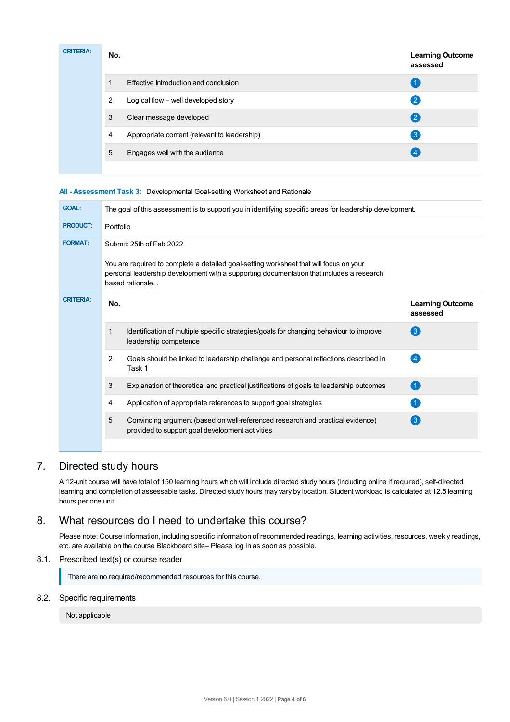| <b>CRITERIA:</b> | No. | <b>Learning Outcome</b><br>assessed          |                  |
|------------------|-----|----------------------------------------------|------------------|
|                  |     | Effective Introduction and conclusion        |                  |
|                  | 2   | Logical flow - well developed story          | $\mathbf{2}$     |
|                  | 3   | Clear message developed                      | $\mathbf{2}$     |
|                  | 4   | Appropriate content (relevant to leadership) | $\left 3\right $ |
|                  | 5   | Engages well with the audience               |                  |
|                  |     |                                              |                  |

## **All - Assessment Task 3:** Developmental Goal-setting Worksheet and Rationale

| <b>GOAL:</b>     | The goal of this assessment is to support you in identifying specific areas for leadership development.                                                                                               |                                                                                                                                   |                                     |  |  |
|------------------|-------------------------------------------------------------------------------------------------------------------------------------------------------------------------------------------------------|-----------------------------------------------------------------------------------------------------------------------------------|-------------------------------------|--|--|
| <b>PRODUCT:</b>  | Portfolio                                                                                                                                                                                             |                                                                                                                                   |                                     |  |  |
| <b>FORMAT:</b>   | Submit: 25th of Feb 2022                                                                                                                                                                              |                                                                                                                                   |                                     |  |  |
|                  | You are required to complete a detailed goal-setting worksheet that will focus on your<br>personal leadership development with a supporting documentation that includes a research<br>based rationale |                                                                                                                                   |                                     |  |  |
| <b>CRITERIA:</b> | No.                                                                                                                                                                                                   |                                                                                                                                   | <b>Learning Outcome</b><br>assessed |  |  |
|                  | 1                                                                                                                                                                                                     | Identification of multiple specific strategies/goals for changing behaviour to improve<br>leadership competence                   | 3                                   |  |  |
|                  | $\overline{2}$                                                                                                                                                                                        | Goals should be linked to leadership challenge and personal reflections described in<br>Task 1                                    | (4)                                 |  |  |
|                  | 3                                                                                                                                                                                                     | Explanation of theoretical and practical justifications of goals to leadership outcomes                                           | (1)                                 |  |  |
|                  | 4                                                                                                                                                                                                     | Application of appropriate references to support goal strategies                                                                  |                                     |  |  |
|                  | 5                                                                                                                                                                                                     | Convincing argument (based on well-referenced research and practical evidence)<br>provided to support goal development activities | 3                                   |  |  |
|                  |                                                                                                                                                                                                       |                                                                                                                                   |                                     |  |  |

# 7. Directed study hours

A 12-unit course will have total of 150 learning hours which will include directed study hours (including online if required), self-directed learning and completion of assessable tasks. Directed study hours may vary by location. Student workload is calculated at 12.5 learning hours per one unit.

# 8. What resources do I need to undertake this course?

Please note: Course information, including specific information of recommended readings, learning activities, resources, weekly readings, etc. are available on the course Blackboard site– Please log in as soon as possible.

# 8.1. Prescribed text(s) or course reader

There are no required/recommended resources for this course.

## 8.2. Specific requirements

Not applicable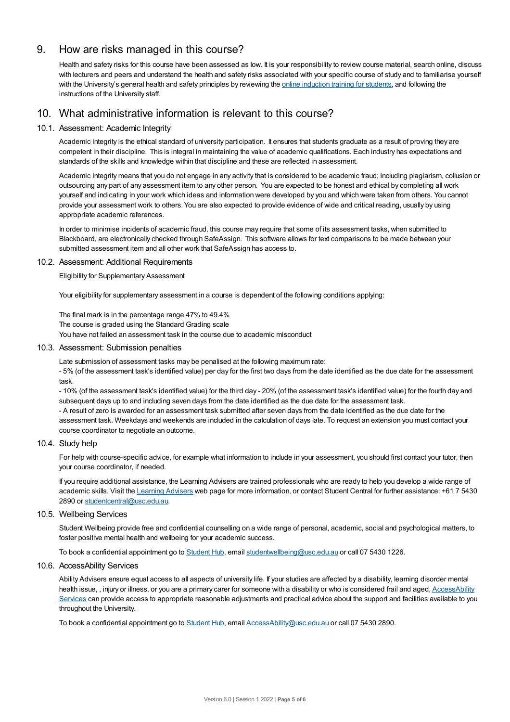# 9. How are risks managed in this course?

Health and safety risks for this course have been assessed as low. It is your responsibility to review course material, search online, discuss with lecturers and peers and understand the health and safety risks associated with your specific course of study and to familiarise yourself with the University's general health and safety principles by reviewing the online [induction](https://online.usc.edu.au/webapps/blackboard/content/listContentEditable.jsp?content_id=_632657_1&course_id=_14432_1) training for students, and following the instructions of the University staff.

# 10. What administrative information is relevant to this course?

## 10.1. Assessment: Academic Integrity

Academic integrity is the ethical standard of university participation. It ensures that students graduate as a result of proving they are competent in their discipline. This is integral in maintaining the value of academic qualifications. Each industry has expectations and standards of the skills and knowledge within that discipline and these are reflected in assessment.

Academic integrity means that you do not engage in any activity that is considered to be academic fraud; including plagiarism, collusion or outsourcing any part of any assessment item to any other person. You are expected to be honest and ethical by completing all work yourself and indicating in your work which ideas and information were developed by you and which were taken from others. You cannot provide your assessment work to others.You are also expected to provide evidence of wide and critical reading, usually by using appropriate academic references.

In order to minimise incidents of academic fraud, this course may require that some of its assessment tasks, when submitted to Blackboard, are electronically checked through SafeAssign. This software allows for text comparisons to be made between your submitted assessment item and all other work that SafeAssign has access to.

#### 10.2. Assessment: Additional Requirements

Eligibility for Supplementary Assessment

Your eligibility for supplementary assessment in a course is dependent of the following conditions applying:

The final mark is in the percentage range 47% to 49.4%

The course is graded using the Standard Grading scale

You have not failed an assessment task in the course due to academic misconduct

#### 10.3. Assessment: Submission penalties

Late submission of assessment tasks may be penalised at the following maximum rate:

- 5% (of the assessment task's identified value) per day for the first two days from the date identified as the due date for the assessment task.

- 10% (of the assessment task's identified value) for the third day - 20% (of the assessment task's identified value) for the fourth day and subsequent days up to and including seven days from the date identified as the due date for the assessment task.

- A result of zero is awarded for an assessment task submitted after seven days from the date identified as the due date for the assessment task. Weekdays and weekends are included in the calculation of days late. To request an extension you must contact your course coordinator to negotiate an outcome.

## 10.4. Study help

For help with course-specific advice, for example what information to include in your assessment, you should first contact your tutor, then your course coordinator, if needed.

If you require additional assistance, the Learning Advisers are trained professionals who are ready to help you develop a wide range of academic skills. Visit the Learning [Advisers](https://www.usc.edu.au/current-students/student-support/academic-and-study-support/learning-advisers) web page for more information, or contact Student Central for further assistance: +61 7 5430 2890 or [studentcentral@usc.edu.au](mailto:studentcentral@usc.edu.au).

#### 10.5. Wellbeing Services

Student Wellbeing provide free and confidential counselling on a wide range of personal, academic, social and psychological matters, to foster positive mental health and wellbeing for your academic success.

To book a confidential appointment go to [Student](https://studenthub.usc.edu.au/) Hub, email [studentwellbeing@usc.edu.au](mailto:studentwellbeing@usc.edu.au) or call 07 5430 1226.

#### 10.6. AccessAbility Services

Ability Advisers ensure equal access to all aspects of university life. If your studies are affected by a disability, learning disorder mental health issue, , injury or illness, or you are a primary carer for someone with a disability or who is considered frail and aged, [AccessAbility](https://www.usc.edu.au/learn/student-support/accessability-services/documentation-requirements) Services can provide access to appropriate reasonable adjustments and practical advice about the support and facilities available to you throughout the University.

To book a confidential appointment go to [Student](https://studenthub.usc.edu.au/) Hub, email [AccessAbility@usc.edu.au](mailto:AccessAbility@usc.edu.au) or call 07 5430 2890.